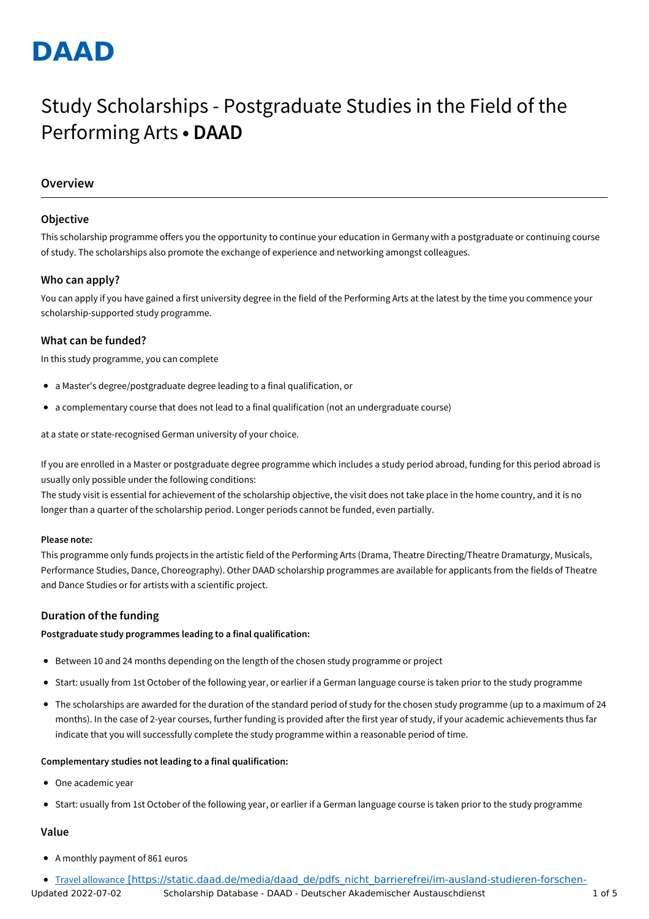# **DAAD**

## Study Scholarships - Postgraduate Studies in the Field of the Performing Arts **• DAAD**

## **Overview**

## **Objective**

This scholarship programme offers you the opportunity to continue your education in Germany with a postgraduate or continuing course of study. The scholarships also promote the exchange of experience and networking amongst colleagues.

## **Who can apply?**

You can apply if you have gained a first university degree in the field of the Performing Arts at the latest by the time you commence your scholarship-supported study programme.

## **What can be funded?**

In this study programme, you can complete

- a Master's degree/postgraduate degree leading to a final qualification, or
- a complementary course that does not lead to a final qualification (not an undergraduate course)

at a state or state-recognised German university of your choice.

If you are enrolled in a Master or postgraduate degree programme which includes a study period abroad, funding for this period abroad is usually only possible under the following conditions:

The study visit is essential for achievement of the scholarship objective, the visit does not take place in the home country, and it is no longer than a quarter of the scholarship period. Longer periods cannot be funded, even partially.

## **Please note:**

This programme only funds projects in the artistic field of the Performing Arts (Drama, Theatre Directing/Theatre Dramaturgy, Musicals, Performance Studies, Dance, Choreography). Other DAAD scholarship programmes are available for applicants from the fields of Theatre and Dance Studies or for artists with a scientific project.

## **Duration of the funding**

## **Postgraduate study programmes leading to a final qualification:**

- Between 10 and 24 months depending on the length of the chosen study programme or project
- Start: usually from 1st October of the following year, or earlier if a German language course is taken prior to the study programme
- The scholarships are awarded for the duration of the standard period of study for the chosen study programme (up to a maximum of 24 months). In the case of 2-year courses, further funding is provided after the first year of study, if your academic achievements thus far indicate that you will successfully complete the study programme within a reasonable period of time.

## **Complementary studies not leading to a final qualification:**

- One academic year
- Start: usually from 1st October of the following year, or earlier if a German language course is taken prior to the study programme

## **Value**

A monthly payment of 861 euros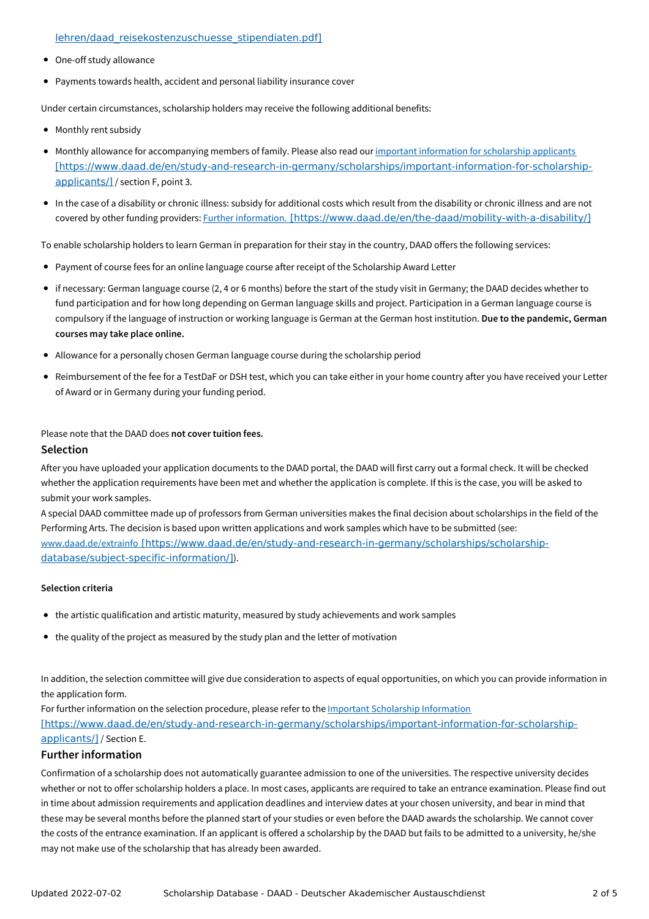#### lehren/daad\_reisekostenzuschuesse\_stipendiaten.pdf]

- One-off study allowance
- Payments towards health, accident and personal liability insurance cover

Under certain circumstances, scholarship holders may receive the following additional benefits:

- Monthly rent subsidy
- Monthly allowance for accompanying members of family. Please also read our important information for scholarship applicants [\[https://www.daad.de/en/study-and-research-in-germany/scholarships/important-information-for-scholarship](https://www.daad.de/en/study-and-research-in-germany/scholarships/important-information-for-scholarship-applicants/)applicants/] / section F, point 3.
- In the case of a disability or chronic illness: subsidy for additional costs which result from the disability or chronic illness and are not covered by other funding providers: Further information. [\[https://www.daad.de/en/the-daad/mobility-with-a-disability/\]](https://www.daad.de/en/the-daad/mobility-with-a-disability/)

To enable scholarship holders to learn German in preparation for their stay in the country, DAAD offers the following services:

- Payment of course fees for an online language course after receipt of the Scholarship Award Letter
- if necessary: German language course (2, 4 or 6 months) before the start of the study visit in Germany; the DAAD decides whether to fund participation and for how long depending on German language skills and project. Participation in a German language course is compulsory if the language of instruction or working language is German at the German host institution. **Due to the pandemic, German courses may take place online.**
- Allowance for a personally chosen German language course during the scholarship period
- Reimbursement of the fee for a TestDaF or DSH test, which you can take either in your home country after you have received your Letter of Award or in Germany during your funding period.

#### Please note that the DAAD does **not cover tuition fees.**

## **Selection**

After you have uploaded your application documents to the DAAD portal, the DAAD will first carry out a formal check. It will be checked whether the application requirements have been met and whether the application is complete. If this is the case, you will be asked to submit your work samples.

A special DAAD committee made up of professors from German universities makes the final decision about scholarships in the field of the Performing Arts. The decision is based upon written applications and work samples which have to be submitted (see: www.daad.de/extrainfo [\[https://www.daad.de/en/study-and-research-in-germany/scholarships/scholarship](https://www.daad.de/en/study-and-research-in-germany/scholarships/scholarship-database/subject-specific-information/)database/subject-specific-information/]).

## **Selection criteria**

- the artistic qualification and artistic maturity, measured by study achievements and work samples
- the quality of the project as measured by the study plan and the letter of motivation

In addition, the selection committee will give due consideration to aspects of equal opportunities, on which you can provide information in the application form.

For further information on the selection procedure, please refer to the **Important Scholarship Information** [\[https://www.daad.de/en/study-and-research-in-germany/scholarships/important-information-for-scholarship](https://www.daad.de/en/study-and-research-in-germany/scholarships/important-information-for-scholarship-applicants/)applicants/] / Section E.

## **Further information**

Confirmation of a scholarship does not automatically guarantee admission to one of the universities. The respective university decides whether or not to offer scholarship holders a place. In most cases, applicants are required to take an entrance examination. Please find out in time about admission requirements and application deadlines and interview dates at your chosen university, and bear in mind that these may be several months before the planned start of your studies or even before the DAAD awards the scholarship. We cannot cover the costs of the entrance examination. If an applicant is offered a scholarship by the DAAD but fails to be admitted to a university, he/she may not make use of the scholarship that has already been awarded.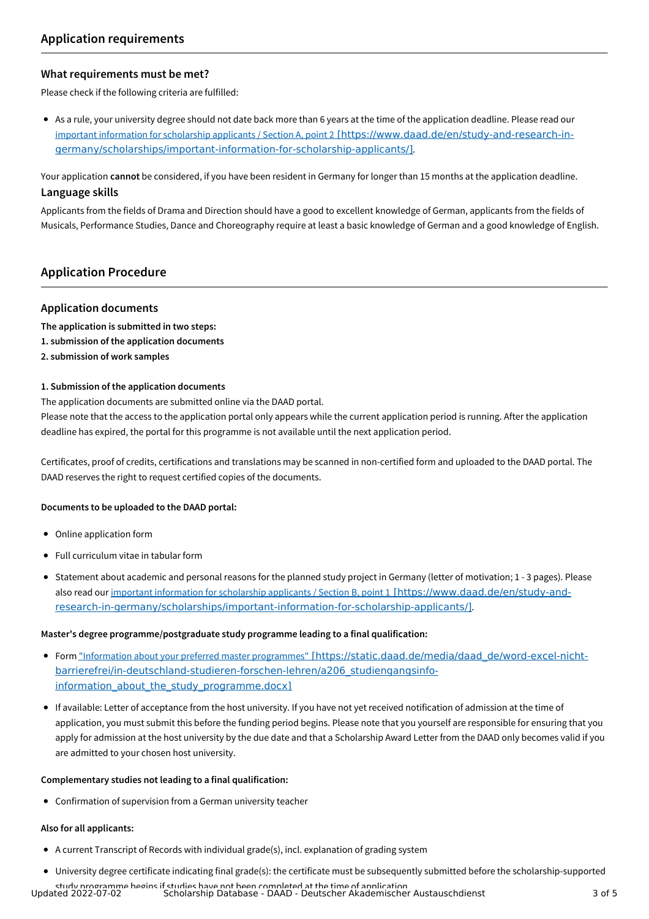## **What requirements must be met?**

Please check if the following criteria are fulfilled:

As a rule, your university degree should not date back more than 6 years at the time of the application deadline. Please read our important information for scholarship applicants / Section A, point 2 [https://www.daad.de/en/study-and-research-in[germany/scholarships/important-information-for-scholarship-applicants/\]](https://www.daad.de/en/study-and-research-in-germany/scholarships/important-information-for-scholarship-applicants/).

Your application **cannot** be considered, if you have been resident in Germany for longer than 15 months at the application deadline. **Language skills**

Applicants from the fields of Drama and Direction should have a good to excellent knowledge of German, applicants from the fields of Musicals, Performance Studies, Dance and Choreography require at least a basic knowledge of German and a good knowledge of English.

## **Application Procedure**

## **Application documents**

- **The application is submitted in two steps:**
- **1. submission of the application documents**
- **2. submission of work samples**

## **1. Submission of the application documents**

The application documents are submitted online via the DAAD portal.

Please note that the access to the application portal only appears while the current application period is running. After the application deadline has expired, the portal for this programme is not available until the next application period.

Certificates, proof of credits, certifications and translations may be scanned in non-certified form and uploaded to the DAAD portal. The DAAD reserves the right to request certified copies of the documents.

## **Documents to be uploaded to the DAAD portal:**

- Online application form
- Full curriculum vitae in tabular form
- Statement about academic and personal reasons for the planned study project in Germany (letter of motivation; 1 3 pages). Please also read our important information for scholarship applicants / Section B, point 1 [https://www.daad.de/en/study-and[research-in-germany/scholarships/important-information-for-scholarship-applicants/\]](https://www.daad.de/en/study-and-research-in-germany/scholarships/important-information-for-scholarship-applicants/).

#### **Master's degree programme/postgraduate study programme leading to a final qualification:**

- Form "Information about your preferred master programmes" [https://static.daad.de/media/daad\_de/word-excel-nicht[barrierefrei/in-deutschland-studieren-forschen-lehren/a206\\_studiengangsinfo](https://static.daad.de/media/daad_de/word-excel-nicht-barrierefrei/in-deutschland-studieren-forschen-lehren/a206_studiengangsinfo-information_about_the_study_programme.docx)information about the study programme.docx]
- If available: Letter of acceptance from the host university. If you have not yet received notification of admission at the time of application, you must submit this before the funding period begins. Please note that you yourself are responsible for ensuring that you apply for admission at the host university by the due date and that a Scholarship Award Letter from the DAAD only becomes valid if you are admitted to your chosen host university.

#### **Complementary studies not leading to a final qualification:**

Confirmation of supervision from a German university teacher

## **Also for all applicants:**

- A current Transcript of Records with individual grade(s), incl. explanation of grading system
- University degree certificate indicating final grade(s): the certificate must be subsequently submitted before the scholarship-supported

study programme begins if studies have not been completed at the time of application. Updated 2022-07-02 Scholarship Database - DAAD - Deutscher Akademischer Austauschdienst 3 of 5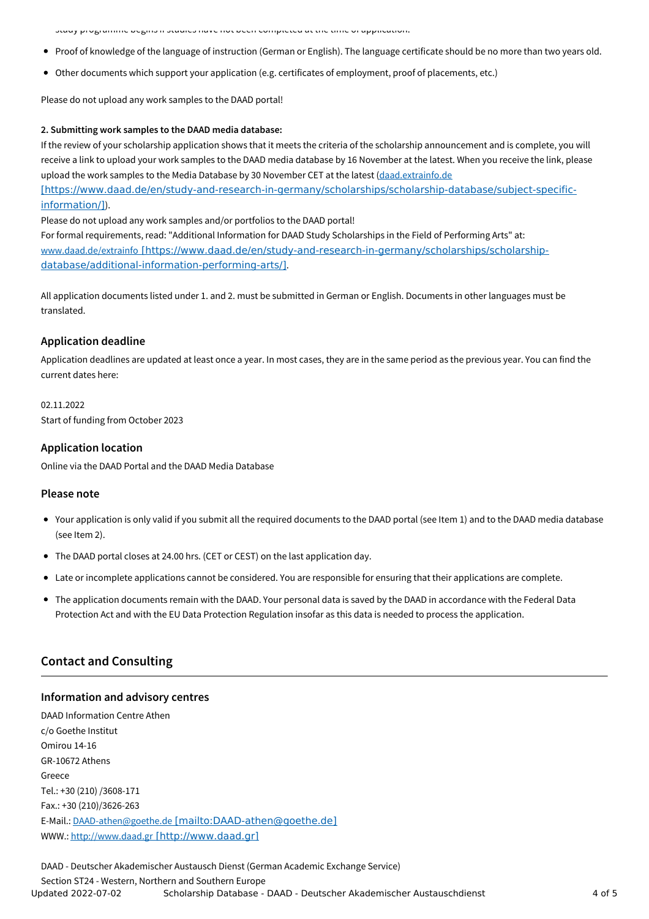study programme begins if studies have not been completed at the time of application.

- Proof of knowledge of the language of instruction (German or English). The language certificate should be no more than two years old.
- Other documents which support your application (e.g. certificates of employment, proof of placements, etc.)

Please do not upload any work samples to the DAAD portal!

#### **2. Submitting work samples to the DAAD media database:**

If the review of your scholarship application shows that it meets the criteria of the scholarship announcement and is complete, you will receive a link to upload your work samples to the DAAD media database by 16 November at the latest. When you receive the link, please upload the work samples to the Media Database by 30 November CET at the latest (daad.extrainfo.de

[\[https://www.daad.de/en/study-and-research-in-germany/scholarships/scholarship-database/subject-specific](https://www.daad.de/en/study-and-research-in-germany/scholarships/scholarship-database/subject-specific-information/)information/]).

Please do not upload any work samples and/or portfolios to the DAAD portal!

For formal requirements, read: "Additional Information for DAAD Study Scholarships in the Field of Performing Arts" at: www.daad.de/extrainfo [\[https://www.daad.de/en/study-and-research-in-germany/scholarships/scholarship](https://www.daad.de/en/study-and-research-in-germany/scholarships/scholarship-database/additional-information-performing-arts/)database/additional-information-performing-arts/].

All application documents listed under 1. and 2. must be submitted in German or English. Documents in other languages must be translated.

## **Application deadline**

Application deadlines are updated at least once a year. In most cases, they are in the same period as the previous year. You can find the current dates here:

02.11.2022 Start of funding from October 2023

## **Application location**

Online via the DAAD Portal and the DAAD Media Database

## **Please note**

- Your application is only valid if you submit all the required documents to the DAAD portal (see Item 1) and to the DAAD media database (see Item 2).
- The DAAD portal closes at 24.00 hrs. (CET or CEST) on the last application day.
- Late or incomplete applications cannot be considered. You are responsible for ensuring that their applications are complete.
- The application documents remain with the DAAD. Your personal data is saved by the DAAD in accordance with the Federal Data Protection Act and with the EU Data Protection Regulation insofar as this data is needed to process the application.

## **Contact and Consulting**

## **Information and advisory centres**

DAAD Information Centre Athen c/o Goethe Institut Omirou 14-16 GR-10672 Athens Greece Tel.: +30 (210) /3608-171 Fax.: +30 (210)/3626-263 E-Mail.: DAAD-athen@goethe.de [\[mailto:DAAD-athen@goethe.de\]](mailto:DAAD-athen@goethe.de) WWW.: http://www.daad.gr [\[http://www.daad.gr\]](http://www.daad.gr)

DAAD - Deutscher Akademischer Austausch Dienst (German Academic Exchange Service) Section ST24 - Western, Northern and Southern Europe Updated 2022-07-02 Scholarship Database - DAAD - Deutscher Akademischer Austauschdienst 4 of 5